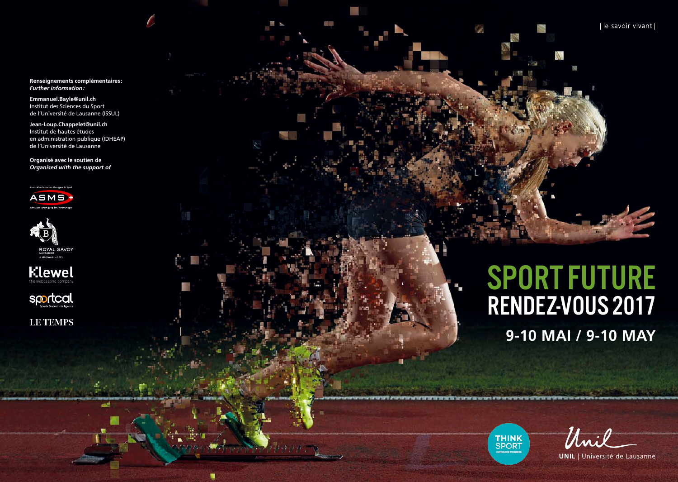**Renseignements complémentaires :** *Further information :*

مبر<br>الأول

**Emmanuel.Bayle@unil.ch**  Institut des Sciences du Sport de l'Université de Lausanne (ISSUL)

**Jean-Loup.Chappelet@unil.ch**  Institut de hautes études en administration publique (IDHEAP) de l'Université de Lausanne

**Organisé avec le soutien de** *Organised with the support of* 









**LE TEMPS** 

است

**9-10 MAI / 9-10 MAY** SPORT FUTURE RENDEZ-VOUS 2017

W

**THINK SPORT** 

Unil

le savoir vivant

**UNIL** | Université de Lausanne